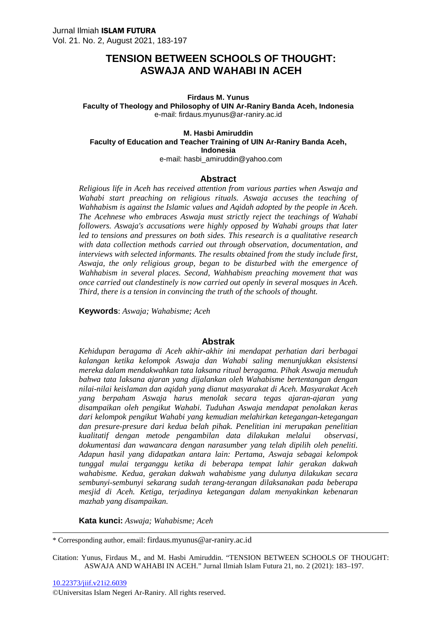### **Firdaus M. Yunus Faculty of Theology and Philosophy of UIN Ar-Raniry Banda Aceh, Indonesia** e-mail: firdaus.myunus@ar-raniry.ac.id

#### **M. Hasbi Amiruddin Faculty of Education and Teacher Training of UIN Ar-Raniry Banda Aceh, Indonesia** e-mail: hasbi\_amiruddin@yahoo.com

#### **Abstract**

*Religious life in Aceh has received attention from various parties when Aswaja and Wahabi start preaching on religious rituals. Aswaja accuses the teaching of Wahhabism is against the Islamic values and Aqidah adopted by the people in Aceh. The Acehnese who embraces Aswaja must strictly reject the teachings of Wahabi followers. Aswaja's accusations were highly opposed by Wahabi groups that later led to tensions and pressures on both sides. This research is a qualitative research with data collection methods carried out through observation, documentation, and interviews with selected informants. The results obtained from the study include first, Aswaja, the only religious group, began to be disturbed with the emergence of Wahhabism in several places. Second, Wahhabism preaching movement that was once carried out clandestinely is now carried out openly in several mosques in Aceh. Third, there is a tension in convincing the truth of the schools of thought.*

**Keywords**: *Aswaja; Wahabisme; Aceh*

### **Abstrak**

*Kehidupan beragama di Aceh akhir-akhir ini mendapat perhatian dari berbagai kalangan ketika kelompok Aswaja dan Wahabi saling menunjukkan eksistensi mereka dalam mendakwahkan tata laksana ritual beragama. Pihak Aswaja menuduh bahwa tata laksana ajaran yang dijalankan oleh Wahabisme bertentangan dengan nilai-nilai keislaman dan aqidah yang dianut masyarakat di Aceh. Masyarakat Aceh yang berpaham Aswaja harus menolak secara tegas ajaran-ajaran yang disampaikan oleh pengikut Wahabi. Tuduhan Aswaja mendapat penolakan keras dari kelompok pengikut Wahabi yang kemudian melahirkan ketegangan-ketegangan dan presure-presure dari kedua belah pihak. Penelitian ini merupakan penelitian kualitatif dengan metode pengambilan data dilakukan melalui observasi, dokumentasi dan wawancara dengan narasumber yang telah dipilih oleh peneliti. Adapun hasil yang didapatkan antara lain: Pertama, Aswaja sebagai kelompok tunggal mulai terganggu ketika di beberapa tempat lahir gerakan dakwah wahabisme. Kedua, gerakan dakwah wahabisme yang dulunya dilakukan secara sembunyi-sembunyi sekarang sudah terang-terangan dilaksanakan pada beberapa mesjid di Aceh. Ketiga, terjadinya ketegangan dalam menyakinkan kebenaran mazhab yang disampaikan.*

**Kata kunci:** *Aswaja; Wahabisme; Aceh*

\* Corresponding author, email: firdaus.myunus@ar-raniry.ac.id

Citation: Yunus, Firdaus M., and M. Hasbi Amiruddin. "TENSION BETWEEN SCHOOLS OF THOUGHT: ASWAJA AND WAHABI IN ACEH." Jurnal Ilmiah Islam Futura 21, no. 2 (2021): 183–197.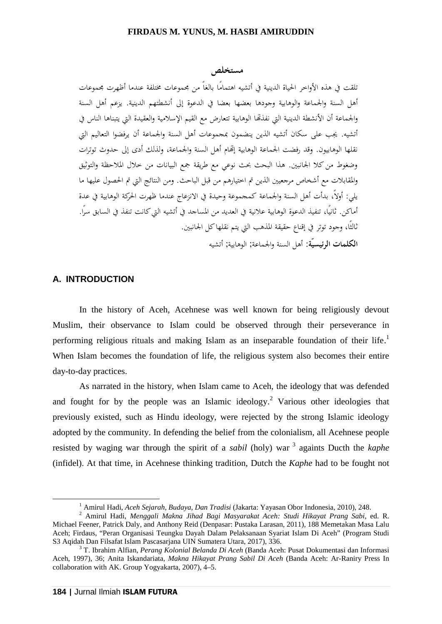### **مستخلص**

تلقت في هذه الأواخر الحياة الدينية في أتشيه اهتمامًا بالغاً من مجموعات مختلفة عندما أظهرت مجموعات أهل السنة والجماعة و الوهابية وجودها بعضها بعضا في الدعوة إلى أنشطتهم الدينية. يزعم أهل السنة والجماعة أن الأنشطة الدينية التي نفذهما الوهابية تتعارض مع القيم الإسلامية والعقيدة التي يتبناها الناس في أتشيه. يجب على سكان أتشيه الذين ينضمون بمجموعات أهل السنة والجماعة أن يرفضوا التعاليم التي نقلها الوهابيون. وقد رفضت الجماعة الوهابية إصّام أهل السنة والجماعة، ولذلك أدى إلى حدوث توترات وضغوط من كلا الجانبين. هذا البحث بحث نوعي مع طريقة جمع البيانات من خلال الملاحظة والتوثيق والمقابلات مع أشخاص مرجعيين الذين تم اختيارهم من قبل الباحث. ومن النتائج التي تم الحصول عليها ما يلي: أولا،ً بدأت أهل السنة والجماعة كمجموعة وحيدة في الانزعاج عندما ظهرت الحركة الوهابية في عدة أماكن. ثانيًا، تنفيذ الدعوة الوهابية علانية في العديد من المساجد في أتشيه التي كانت تنفذ في السابق سرًا.<br>ثالثًا، وجود توتر في إقناع حقيقة المذهب التي يتم نقلها كل الجانبين. **الكلمات الرئيسيّة:** أهل السنة والجماعة; الوهابية; أتشيه

# **A. INTRODUCTION**

In the history of Aceh, Acehnese was well known for being religiously devout Muslim, their observance to Islam could be observed through their perseverance in performing religious rituals and making Islam as an inseparable foundation of their life.<sup>1</sup> When Islam becomes the foundation of life, the religious system also becomes their entire day-to-day practices.

As narrated in the history, when Islam came to Aceh, the ideology that was defended and fought for by the people was an Islamic ideology.<sup>2</sup> Various other ideologies that previously existed, such as Hindu ideology, were rejected by the strong Islamic ideology adopted by the community. In defending the belief from the colonialism, all Acehnese people resisted by waging war through the spirit of a *sabil* (holy) war <sup>3</sup> againts Ducth the *kaphe* (infidel). At that time, in Acehnese thinking tradition, Dutch the *Kaphe* had to be fought not

<sup>1</sup> Amirul Hadi, *Aceh Sejarah, Budaya, Dan Tradisi* (Jakarta: Yayasan Obor Indonesia, 2010), 248. <sup>2</sup> Amirul Hadi, *Menggali Makna Jihad Bagi Masyarakat Aceh: Studi Hikayat Prang Sabi*, ed. R. Michael Feener, Patrick Daly, and Anthony Reid (Denpasar: Pustaka Larasan, 2011), 188 Memetakan Masa Lalu Aceh; Firdaus, "Peran Organisasi Teungku Dayah Dalam Pelaksanaan Syariat Islam Di Aceh" (Program Studi S3 Aqidah Dan Filsafat Islam Pascasarjana UIN Sumatera Utara, 2017), 336.

<sup>&</sup>lt;sup>3</sup> T. Ibrahim Alfian, *Perang Kolonial Belanda Di Aceh* (Banda Aceh: Pusat Dokumentasi dan Informasi Aceh, 1997), 36; Anita Iskandariata, *Makna Hikayat Prang Sabil Di Aceh* (Banda Aceh: Ar-Raniry Press In collaboration with AK. Group Yogyakarta, 2007), 4–5.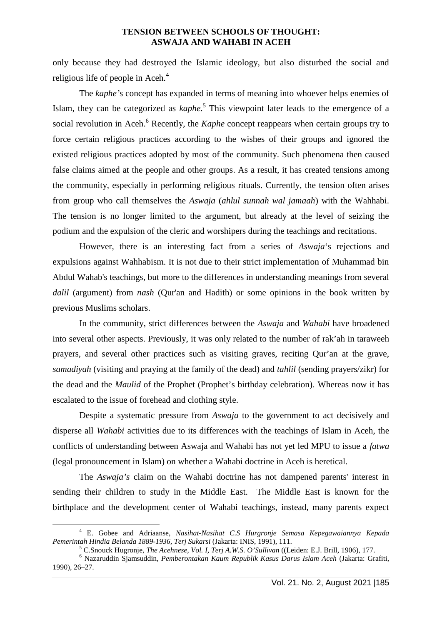only because they had destroyed the Islamic ideology, but also disturbed the social and religious life of people in Aceh.<sup>4</sup>

The *kaphe'*s concept has expanded in terms of meaning into whoever helps enemies of Islam, they can be categorized as *kaphe*.<sup>5</sup> This viewpoint later leads to the emergence of a social revolution in Aceh.<sup>6</sup> Recently, the *Kaphe* concept reappears when certain groups try to force certain religious practices according to the wishes of their groups and ignored the existed religious practices adopted by most of the community. Such phenomena then caused false claims aimed at the people and other groups. As a result, it has created tensions among the community, especially in performing religious rituals. Currently, the tension often arises from group who call themselves the *Aswaja* (*ahlul sunnah wal jamaah*) with the Wahhabi. The tension is no longer limited to the argument, but already at the level of seizing the podium and the expulsion of the cleric and worshipers during the teachings and recitations.

However, there is an interesting fact from a series of *Aswaja*'s rejections and expulsions against Wahhabism. It is not due to their strict implementation of Muhammad bin Abdul Wahab's teachings, but more to the differences in understanding meanings from several *dalil* (argument) from *nash* (Qur'an and Hadith) or some opinions in the book written by previous Muslims scholars.

In the community, strict differences between the *Aswaja* and *Wahabi* have broadened into several other aspects. Previously, it was only related to the number of rak'ah in taraweeh prayers, and several other practices such as visiting graves, reciting Qur'an at the grave, *samadiyah* (visiting and praying at the family of the dead) and *tahlil* (sending prayers/zikr) for the dead and the *Maulid* of the Prophet (Prophet's birthday celebration). Whereas now it has escalated to the issue of forehead and clothing style.

Despite a systematic pressure from *Aswaja* to the government to act decisively and disperse all *Wahabi* activities due to its differences with the teachings of Islam in Aceh, the conflicts of understanding between Aswaja and Wahabi has not yet led MPU to issue a *fatwa* (legal pronouncement in Islam) on whether a Wahabi doctrine in Aceh is heretical.

The *Aswaja's* claim on the Wahabi doctrine has not dampened parents' interest in sending their children to study in the Middle East. The Middle East is known for the birthplace and the development center of Wahabi teachings, instead, many parents expect

<sup>4</sup> E. Gobee and Adriaanse, *Nasihat-Nasihat C.S Hurgronje Semasa Kepegawaiannya Kepada*

<sup>&</sup>lt;sup>5</sup> C.Snouck Hugronje, *The Acehnese, Vol. I, Terj A.W.S. O'Sullivan* ((Leiden: E.J. Brill, 1906), 177.<br><sup>6</sup> Nazaruddin Sjamsuddin, *Pemberontakan Kaum Republik Kasus Darus Islam Aceh* (Jakarta: Grafiti,

<sup>1990), 26</sup>–27.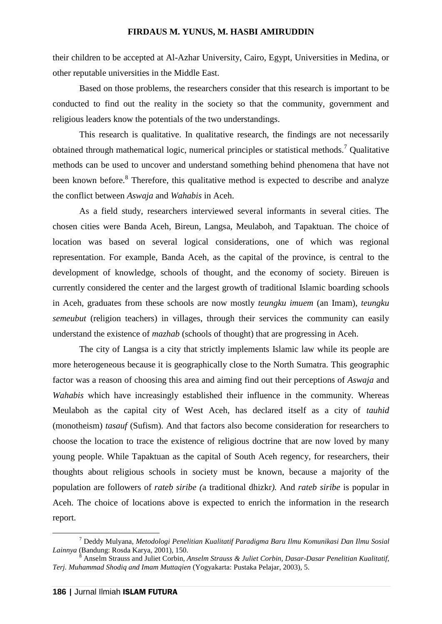their children to be accepted at Al-Azhar University, Cairo, Egypt, Universities in Medina, or other reputable universities in the Middle East.

Based on those problems, the researchers consider that this research is important to be conducted to find out the reality in the society so that the community, government and religious leaders know the potentials of the two understandings.

This research is qualitative. In qualitative research, the findings are not necessarily obtained through mathematical logic, numerical principles or statistical methods.<sup>7</sup> Qualitative methods can be used to uncover and understand something behind phenomena that have not been known before.<sup>8</sup> Therefore, this qualitative method is expected to describe and analyze the conflict between *Aswaja* and *Wahabis* in Aceh.

As a field study, researchers interviewed several informants in several cities. The chosen cities were Banda Aceh, Bireun, Langsa, Meulaboh, and Tapaktuan. The choice of location was based on several logical considerations, one of which was regional representation. For example, Banda Aceh, as the capital of the province, is central to the development of knowledge, schools of thought, and the economy of society. Bireuen is currently considered the center and the largest growth of traditional Islamic boarding schools in Aceh, graduates from these schools are now mostly *teungku imuem* (an Imam), *teungku semeubut* (religion teachers) in villages, through their services the community can easily understand the existence of *mazhab* (schools of thought) that are progressing in Aceh.

The city of Langsa is a city that strictly implements Islamic law while its people are more heterogeneous because it is geographically close to the North Sumatra. This geographic factor was a reason of choosing this area and aiming find out their perceptions of *Aswaja* and *Wahabis* which have increasingly established their influence in the community. Whereas Meulaboh as the capital city of West Aceh, has declared itself as a city of *tauhid* (monotheism) *tasauf* (Sufism). And that factors also become consideration for researchers to choose the location to trace the existence of religious doctrine that are now loved by many young people. While Tapaktuan as the capital of South Aceh regency, for researchers, their thoughts about religious schools in society must be known, because a majority of the population are followers of *rateb siribe (*a traditional dhizkr*).* And *rateb siribe* is popular in Aceh. The choice of locations above is expected to enrich the information in the research report.

<sup>7</sup> Deddy Mulyana, *Metodologi Penelitian Kualitatif Paradigma Baru Ilmu Komunikasi Dan Ilmu Sosial*

<sup>&</sup>lt;sup>3</sup> Anselm Strauss and Juliet Corbin, *Anselm Strauss & Juliet Corbin, Dasar-Dasar Penelitian Kualitatif, Terj. Muhammad Shodiq and Imam Muttaqien* (Yogyakarta: Pustaka Pelajar, 2003), 5.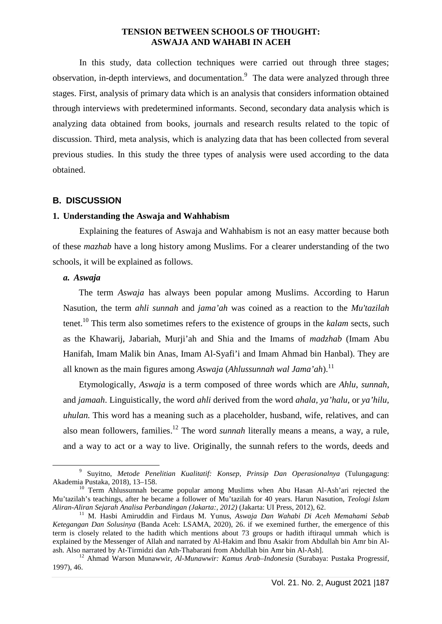In this study, data collection techniques were carried out through three stages; observation, in-depth interviews, and documentation.<sup>9</sup> The data were analyzed through three stages. First, analysis of primary data which is an analysis that considers information obtained through interviews with predetermined informants. Second*,* secondary data analysis which is analyzing data obtained from books, journals and research results related to the topic of discussion. Third*,* meta analysis, which is analyzing data that has been collected from several previous studies. In this study the three types of analysis were used according to the data obtained.

### **B. DISCUSSION**

### **1. Understanding the Aswaja and Wahhabism**

Explaining the features of Aswaja and Wahhabism is not an easy matter because both of these *mazhab* have a long history among Muslims. For a clearer understanding of the two schools, it will be explained as follows.

### *a. Aswaja*

The term *Aswaja* has always been popular among Muslims. According to Harun Nasution, the term *ahli sunnah* and *jama'ah* was coined as a reaction to the *Mu'tazilah* tenet.<sup>10</sup> This term also sometimes refers to the existence of groups in the *kalam* sects, such as the Khawarij, Jabariah, Murji'ah and Shia and the Imams of *madzhab* (Imam Abu Hanifah, Imam Malik bin Anas, Imam Al-Syafi'i and Imam Ahmad bin Hanbal). They are all known as the main figures among *Aswaja* (*Ahlussunnah wal Jama'ah*).<sup>11</sup>

Etymologically, *Aswaja* is a term composed of three words which are *Ahlu*, *sunnah*, and *jamaah*. Linguistically, the word *ahli* derived from the word *ahala, ya'halu,* or *ya'hilu, uhulan.* This word has a meaning such as a placeholder, husband, wife, relatives, and can also mean followers, families.<sup>12</sup> The word *sunnah* literally means a means, a way, a rule, and a way to act or a way to live. Originally, the sunnah refers to the words, deeds and

<sup>9</sup> Suyitno, *Metode Penelitian Kualitatif: Konsep, Prinsip Dan Operasionalnya* (Tulungagung:

<sup>&</sup>lt;sup>10</sup> Term Ahlussunnah became popular among Muslims when Abu Hasan Al-Ash'ari rejected the Mu'tazilah's teachings, after he became a follower of Mu'tazilah for 40 years. Harun Nasution, *Teologi Islam*

*Aliran-Aliran Sejarah Analisa Perbandingan (Jakarta:, 2012)* (Jakarta: UI Press, 2012), 62. <sup>11</sup> M. Hasbi Amiruddin and Firdaus M. Yunus, *Aswaja Dan Wahabi Di Aceh Memahami Sebab Ketegangan Dan Solusinya* (Banda Aceh: LSAMA, 2020), 26. if we exemined further, the emergence of this term is closely related to the hadith which mentions about 73 groups or hadith iftiraqul ummah which is explained by the Messenger of Allah and narrated by Al-Hakim and Ibnu Asakir from Abdullah bin Amr bin Al-<br>ash. Also narrated by At-Tirmidzi dan Ath-Thabarani from Abdullah bin Amr bin Al-Ash].

<sup>&</sup>lt;sup>12</sup> Ahmad Warson Munawwir, *Al-Munawwir: Kamus Arab–Indonesia* (Surabaya: Pustaka Progressif, 1997), 46.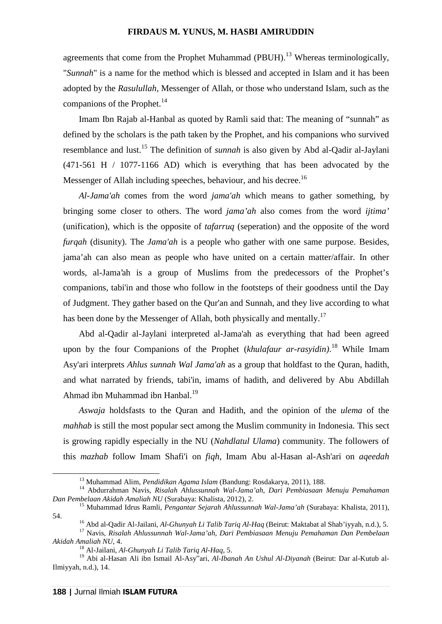agreements that come from the Prophet Muhammad (PBUH).<sup>13</sup> Whereas terminologically, "*Sunnah*" is a name for the method which is blessed and accepted in Islam and it has been adopted by the *Rasulullah,* Messenger of Allah, or those who understand Islam, such as the companions of the Prophet. $^{14}$ 

Imam Ibn Rajab al-Hanbal as quoted by Ramli said that: The meaning of "sunnah" as defined by the scholars is the path taken by the Prophet, and his companions who survived resemblance and lust.<sup>15</sup> The definition of *sunnah* is also given by Abd al-Qadir al-Jaylani (471-561 H / 1077-1166 AD) which is everything that has been advocated by the Messenger of Allah including speeches, behaviour, and his decree.<sup>16</sup>

*Al-Jama'ah* comes from the word *jama'ah* which means to gather something, by bringing some closer to others. The word *jama'ah* also comes from the word *ijtima'* (unification), which is the opposite of *tafarruq* (seperation) and the opposite of the word *furqah* (disunity). The *Jama'ah* is a people who gather with one same purpose. Besides, jama'ah can also mean as people who have united on a certain matter/affair. In other words, al-Jama'ah is a group of Muslims from the predecessors of the Prophet's companions, tabi'in and those who follow in the footsteps of their goodness until the Day of Judgment. They gather based on the Qur'an and Sunnah, and they live according to what has been done by the Messenger of Allah, both physically and mentally.<sup>17</sup>

Abd al-Qadir al-Jaylani interpreted al-Jama'ah as everything that had been agreed upon by the four Companions of the Prophet (*khulafaur ar-rasyidin)*.<sup>18</sup> While Imam Asy'ari interprets *Ahlus sunnah Wal Jama'ah* as a group that holdfast to the Quran, hadith, and what narrated by friends, tabi'in, imams of hadith, and delivered by Abu Abdillah Ahmad ibn Muhammad ibn Hanbal.<sup>19</sup>

*Aswaja* holdsfasts to the Quran and Hadith, and the opinion of the *ulema* of the *mahhab* is still the most popular sect among the Muslim community in Indonesia. This sect is growing rapidly especially in the NU (*Nahdlatul Ulama*) community. The followers of this *mazhab* follow Imam Shafi'i on *fiqh*, Imam Abu al-Hasan al-Ash'ari on *aqeedah*

<sup>&</sup>lt;sup>13</sup> Muhammad Alim, *Pendidikan Agama Islam* (Bandung: Rosdakarya, 2011), 188.<br><sup>14</sup> Abdurrahman Navis, *Risalah Ahlussunnah Wal-Jama'ah, Dari Pembiasaan Menuju Pemahaman Dan Pembelaan Akidah Amaliah NU (Surabaya: Khalista,* 

<sup>&</sup>lt;sup>15</sup> Muhammad Idrus Ramli, *Pengantar Sejarah Ahlussunnah Wal-Jama'ah* (Surabaya: Khalista, 2011), 54. <sup>16</sup> Abd al-Qadir Al-Jailani, *Al-Ghunyah Li Talib Tariq Al-Haq* (Beirut: Maktabat al Shab'iyyah, n.d.), 5. <sup>17</sup> Navis, *Risalah Ahlussunnah Wal-Jama'ah, Dari Pembiasaan Menuju Pemahaman Dan Pembelaan*

*Akidah Amaliah NU*, 4. <sup>18</sup> Al-Jailani, *Al-Ghunyah Li Talib Tariq Al-Haq*, 5.

<sup>19</sup> Abi al-Hasan Ali ibn Ismail Al-Asy"ari, *Al-Ibanah An Ushul Al-Diyanah* (Beirut: Dar al-Kutub al-Ilmiyyah, n.d.), 14.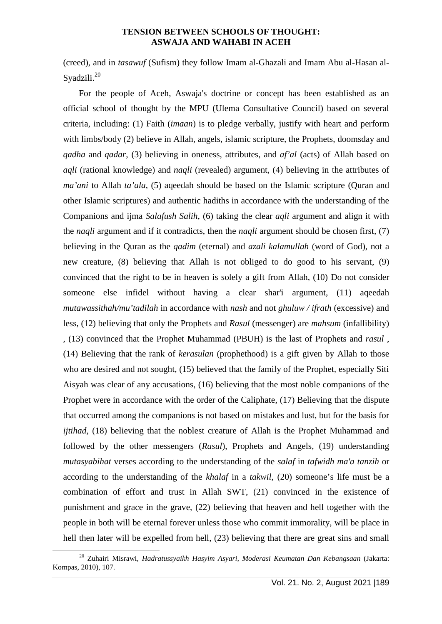(creed), and in *tasawuf* (Sufism) they follow Imam al-Ghazali and Imam Abu al-Hasan al- Syadzili.<sup>20</sup>

For the people of Aceh, Aswaja's doctrine or concept has been established as an official school of thought by the MPU (Ulema Consultative Council) based on several criteria, including: (1) Faith (*imaan*) is to pledge verbally, justify with heart and perform with limbs/body (2) believe in Allah, angels, islamic scripture, the Prophets, doomsday and *qadha* and *qadar*, (3) believing in oneness, attributes, and *af'al* (acts) of Allah based on *aqli* (rational knowledge) and *naqli* (revealed) argument, (4) believing in the attributes of *ma'ani* to Allah *ta'ala*, (5) aqeedah should be based on the Islamic scripture (Quran and other Islamic scriptures) and authentic hadiths in accordance with the understanding of the Companions and ijma *Salafush Salih*, (6) taking the clear *aqli* argument and align it with the *naqli* argument and if it contradicts, then the *naqli* argument should be chosen first, (7) believing in the Quran as the *qadim* (eternal) and *azali kalamullah* (word of God), not a new creature, (8) believing that Allah is not obliged to do good to his servant, (9) convinced that the right to be in heaven is solely a gift from Allah, (10) Do not consider someone else infidel without having a clear shar'i argument, (11) aqeedah *mutawassithah/mu'tadilah* in accordance with *nash* and not *ghuluw / ifrath* (excessive) and less, (12) believing that only the Prophets and *Rasul* (messenger) are *mahsum* (infallibility) , (13) convinced that the Prophet Muhammad (PBUH) is the last of Prophets and *rasul* , (14) Believing that the rank of *kerasulan* (prophethood) is a gift given by Allah to those who are desired and not sought, (15) believed that the family of the Prophet, especially Siti Aisyah was clear of any accusations, (16) believing that the most noble companions of the Prophet were in accordance with the order of the Caliphate, (17) Believing that the dispute that occurred among the companions is not based on mistakes and lust, but for the basis for *ijtihad*, (18) believing that the noblest creature of Allah is the Prophet Muhammad and followed by the other messengers (*Rasul*), Prophets and Angels, (19) understanding *mutasyabihat* verses according to the understanding of the *salaf* in *tafwidh ma'a tanzih* or according to the understanding of the *khalaf* in a *takwil*, (20) someone's life must be a combination of effort and trust in Allah SWT, (21) convinced in the existence of punishment and grace in the grave, (22) believing that heaven and hell together with the people in both will be eternal forever unless those who commit immorality, will be place in hell then later will be expelled from hell,  $(23)$  believing that there are great sins and small

<sup>20</sup> Zuhairi Misrawi, *Hadratussyaikh Hasyim Asyari, Moderasi Keumatan Dan Kebangsaan* (Jakarta: Kompas, 2010), 107.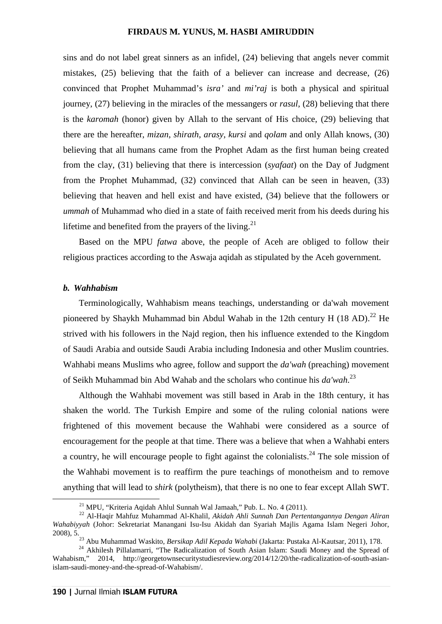sins and do not label great sinners as an infidel, (24) believing that angels never commit mistakes, (25) believing that the faith of a believer can increase and decrease, (26) convinced that Prophet Muhammad's *isra'* and *mi'raj* is both a physical and spiritual journey, (27) believing in the miracles of the messangers or *rasul*, (28) believing that there is the *karomah* (honor) given by Allah to the servant of His choice, (29) believing that there are the hereafter, *mizan*, *shirath*, *arasy*, *kursi* and *qolam* and only Allah knows, (30) believing that all humans came from the Prophet Adam as the first human being created from the clay, (31) believing that there is intercession (*syafaat*) on the Day of Judgment from the Prophet Muhammad, (32) convinced that Allah can be seen in heaven, (33) believing that heaven and hell exist and have existed, (34) believe that the followers or *ummah* of Muhammad who died in a state of faith received merit from his deeds during his lifetime and benefited from the prayers of the living.<sup>21</sup>

Based on the MPU *fatwa* above, the people of Aceh are obliged to follow their religious practices according to the Aswaja aqidah as stipulated by the Aceh government.

### *b. Wahhabism*

Terminologically, Wahhabism means teachings, understanding or da'wah movement pioneered by Shaykh Muhammad bin Abdul Wahab in the 12th century H (18 AD).<sup>22</sup> He strived with his followers in the Najd region, then his influence extended to the Kingdom of Saudi Arabia and outside Saudi Arabia including Indonesia and other Muslim countries. Wahhabi means Muslims who agree, follow and support the *da'wah* (preaching) movement of Seikh Muhammad bin Abd Wahab and the scholars who continue his *da'wah*.<sup>23</sup>

Although the Wahhabi movement was still based in Arab in the 18th century, it has shaken the world. The Turkish Empire and some of the ruling colonial nations were frightened of this movement because the Wahhabi were considered as a source of encouragement for the people at that time. There was a believe that when a Wahhabi enters a country, he will encourage people to fight against the colonialists.<sup>24</sup> The sole mission of the Wahhabi movement is to reaffirm the pure teachings of monotheism and to remove anything that will lead to *shirk* (polytheism), that there is no one to fear except Allah SWT.

<sup>&</sup>lt;sup>21</sup> MPU, "Kriteria Aqidah Ahlul Sunnah Wal Jamaah," Pub. L. No. 4 (2011).<br><sup>22</sup> Al-Haqir Mahfuz Muhammad Al-Khalil, *Akidah Ahli Sunnah Dan Pertentangannya Dengan Aliran Wahabiyyah* (Johor: Sekretariat Manangani Isu-Isu Akidah dan Syariah Majlis Agama Islam Negeri Johor, 2008), 5.<br><sup>23</sup> Abu Muhammad Waskito, *Bersikap Adil Kepada Wahabi* (Jakarta: Pustaka Al-Kautsar, 2011), 178.<br><sup>24</sup> Akhilesh Pillalamarri, "The Radicalization of South Asian Islam: Saudi Money and the Spread of

Wahabism," 2014, http://georgetownsecuritystudiesreview.org/2014/12/20/the-radicalization-of-south-asianislam-saudi-money-and-the-spread-of-Wahabism/.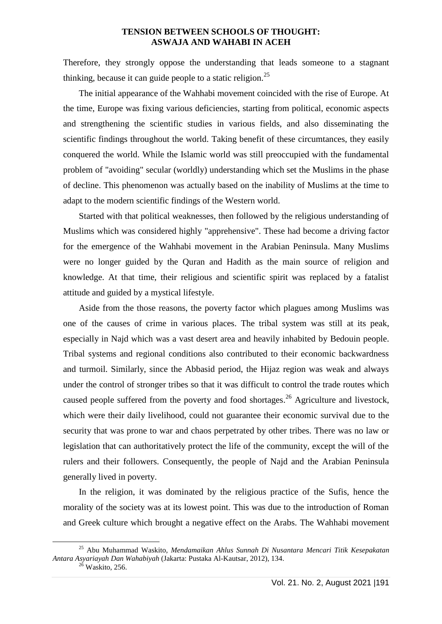Therefore, they strongly oppose the understanding that leads someone to a stagnant thinking, because it can guide people to a static religion.<sup>25</sup>

The initial appearance of the Wahhabi movement coincided with the rise of Europe. At the time, Europe was fixing various deficiencies, starting from political, economic aspects and strengthening the scientific studies in various fields, and also disseminating the scientific findings throughout the world. Taking benefit of these circumtances, they easily conquered the world. While the Islamic world was still preoccupied with the fundamental problem of "avoiding" secular (worldly) understanding which set the Muslims in the phase of decline. This phenomenon was actually based on the inability of Muslims at the time to adapt to the modern scientific findings of the Western world.

Started with that political weaknesses, then followed by the religious understanding of Muslims which was considered highly "apprehensive". These had become a driving factor for the emergence of the Wahhabi movement in the Arabian Peninsula. Many Muslims were no longer guided by the Quran and Hadith as the main source of religion and knowledge. At that time, their religious and scientific spirit was replaced by a fatalist attitude and guided by a mystical lifestyle.

Aside from the those reasons, the poverty factor which plagues among Muslims was one of the causes of crime in various places. The tribal system was still at its peak, especially in Najd which was a vast desert area and heavily inhabited by Bedouin people. Tribal systems and regional conditions also contributed to their economic backwardness and turmoil. Similarly, since the Abbasid period, the Hijaz region was weak and always under the control of stronger tribes so that it was difficult to control the trade routes which caused people suffered from the poverty and food shortages.<sup>26</sup> Agriculture and livestock, which were their daily livelihood, could not guarantee their economic survival due to the security that was prone to war and chaos perpetrated by other tribes. There was no law or legislation that can authoritatively protect the life of the community, except the will of the rulers and their followers. Consequently, the people of Najd and the Arabian Peninsula generally lived in poverty.

In the religion, it was dominated by the religious practice of the Sufis, hence the morality of the society was at its lowest point. This was due to the introduction of Roman and Greek culture which brought a negative effect on the Arabs. The Wahhabi movement

<sup>25</sup> Abu Muhammad Waskito, *Mendamaikan Ahlus Sunnah Di Nusantara Mencari Titik Kesepakatan Antara Asyariayah Dan Wahabiyah* (Jakarta: Pustaka Al-Kautsar, 2012), 134. <sup>26</sup> Waskito, 256.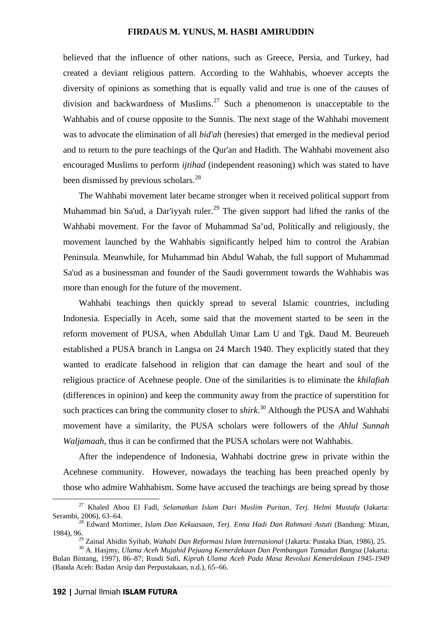believed that the influence of other nations, such as Greece, Persia, and Turkey, had created a deviant religious pattern. According to the Wahhabis, whoever accepts the diversity of opinions as something that is equally valid and true is one of the causes of division and backwardness of Muslims.<sup>27</sup> Such a phenomenon is unacceptable to the Wahhabis and of course opposite to the Sunnis. The next stage of the Wahhabi movement was to advocate the elimination of all *bid'ah* (heresies) that emerged in the medieval period and to return to the pure teachings of the Qur'an and Hadith. The Wahhabi movement also encouraged Muslims to perform *ijtihad* (independent reasoning) which was stated to have been dismissed by previous scholars.<sup>28</sup>

The Wahhabi movement later became stronger when it received political support from Muhammad bin Sa'ud, a Dar'iyyah ruler.<sup>29</sup> The given support had lifted the ranks of the Wahhabi movement. For the favor of Muhammad Sa'ud, Politically and religiously, the movement launched by the Wahhabis significantly helped him to control the Arabian Peninsula. Meanwhile, for Muhammad bin Abdul Wahab, the full support of Muhammad Sa'ud as a businessman and founder of the Saudi government towards the Wahhabis was more than enough for the future of the movement.

Wahhabi teachings then quickly spread to several Islamic countries, including Indonesia. Especially in Aceh, some said that the movement started to be seen in the reform movement of PUSA, when Abdullah Umar Lam U and Tgk. Daud M. Beureueh established a PUSA branch in Langsa on 24 March 1940. They explicitly stated that they wanted to eradicate falsehood in religion that can damage the heart and soul of the religious practice of Acehnese people. One of the similarities is to eliminate the *khilafiah* (differences in opinion) and keep the community away from the practice of superstition for such practices can bring the community closer to *shirk*<sup>30</sup> Although the PUSA and Wahhabi movement have a similarity, the PUSA scholars were followers of the *Ahlul Sunnah Waljamaah*, thus it can be confirmed that the PUSA scholars were not Wahhabis.

After the independence of Indonesia, Wahhabi doctrine grew in private within the Acehnese community. However, nowadays the teaching has been preached openly by those who admire Wahhabism. Some have accused the teachings are being spread by those

<sup>27</sup> Khaled Abou El Fadl, *Selamatkan Islam Dari Muslim Puritan, Terj. Helmi Mustafa* (Jakarta: Serambi, 2006), 63–64. <sup>28</sup> Edward Mortimer, *Islam Dan Kekuasaan, Terj. Enna Hadi Dan Rahmani Astuti* (Bandung: Mizan,

<sup>1984), 96.</sup>

<sup>&</sup>lt;sup>29</sup> Zainal Abidin Syihab, *Wahabi Dan Reformasi Islam Internasional* (Jakarta: Pustaka Dian, 1986), 25.<br><sup>30</sup> A. Hasjmy, *Ulama Aceh Mujahid Pejuang Kemerdekaan Dan Pembangun Tamadun Bangsa (Jakarta:* 

Bulan Bintang, 1997), 86–87; Rusdi Sufi, *Kiprah Ulama Aceh Pada Masa Revolusi Kemerdekaan 1945-1949* (Banda Aceh: Badan Arsip dan Perpustakaan, n.d.), 65–66.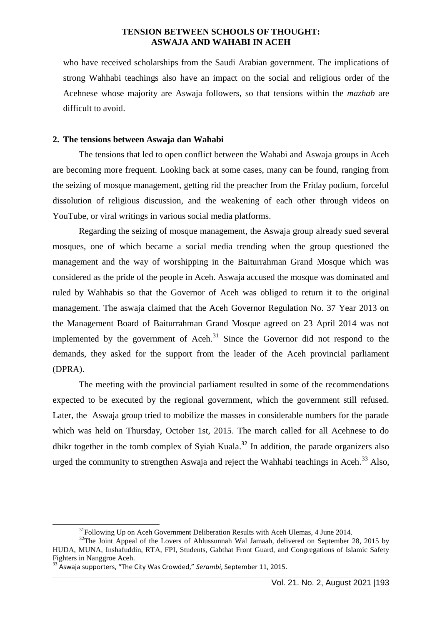who have received scholarships from the Saudi Arabian government. The implications of strong Wahhabi teachings also have an impact on the social and religious order of the Acehnese whose majority are Aswaja followers, so that tensions within the *mazhab* are difficult to avoid.

### **2. The tensions between Aswaja dan Wahabi**

The tensions that led to open conflict between the Wahabi and Aswaja groups in Aceh are becoming more frequent. Looking back at some cases, many can be found, ranging from the seizing of mosque management, getting rid the preacher from the Friday podium, forceful dissolution of religious discussion, and the weakening of each other through videos on YouTube, or viral writings in various social media platforms.

Regarding the seizing of mosque management, the Aswaja group already sued several mosques, one of which became a social media trending when the group questioned the management and the way of worshipping in the Baiturrahman Grand Mosque which was considered as the pride of the people in Aceh. Aswaja accused the mosque was dominated and ruled by Wahhabis so that the Governor of Aceh was obliged to return it to the original management. The aswaja claimed that the Aceh Governor Regulation No. 37 Year 2013 on the Management Board of Baiturrahman Grand Mosque agreed on 23 April 2014 was not implemented by the government of Aceh.<sup>31</sup> Since the Governor did not respond to the demands, they asked for the support from the leader of the Aceh provincial parliament (DPRA).

The meeting with the provincial parliament resulted in some of the recommendations expected to be executed by the regional government, which the government still refused. Later, the Aswaja group tried to mobilize the masses in considerable numbers for the parade which was held on Thursday, October 1st, 2015. The march called for all Acehnese to do dhikr together in the tomb complex of Syiah Kuala.<sup>32</sup> In addition, the parade organizers also urged the community to strengthen Aswaja and reject the Wahhabi teachings in Aceh.<sup>33</sup> Also,

<sup>&</sup>lt;sup>31</sup>Following Up on Aceh Government Deliberation Results with Aceh Ulemas, 4 June 2014.<br><sup>32</sup>The Joint Appeal of the Lovers of Ahlussunnah Wal Jamaah, delivered on September 28, 2015 by

HUDA, MUNA, Inshafuddin, RTA, FPI, Students, Gabthat Front Guard, and Congregations of Islamic Safety Fighters in Nanggroe Aceh.<br><sup>33</sup> Aswaja supporters, "The City Was Crowded," *Serambi*, September 11, 2015.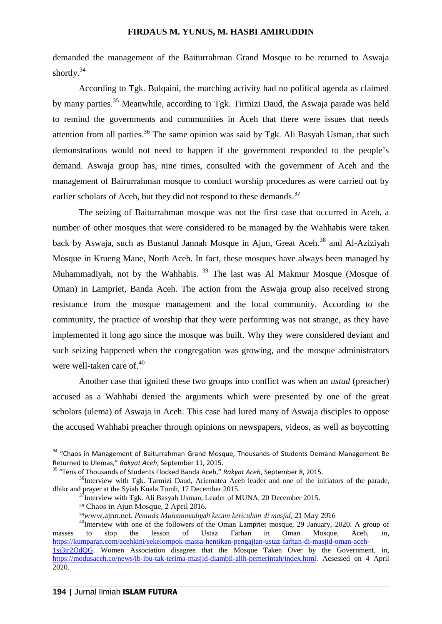demanded the management of the Baiturrahman Grand Mosque to be returned to Aswaja shortly.<sup>34</sup>

According to Tgk. Bulqaini, the marching activity had no political agenda as claimed by many parties.<sup>35</sup> Meanwhile, according to Tgk. Tirmizi Daud, the Aswaja parade was held to remind the governments and communities in Aceh that there were issues that needs attention from all parties.<sup>36</sup> The same opinion was said by Tgk. Ali Basyah Usman, that such demonstrations would not need to happen if the government responded to the people's demand. Aswaja group has, nine times, consulted with the government of Aceh and the management of Bairurrahman mosque to conduct worship procedures as were carried out by earlier scholars of Aceh, but they did not respond to these demands.<sup>37</sup>

The seizing of Baiturrahman mosque was not the first case that occurred in Aceh, a number of other mosques that were considered to be managed by the Wahhabis were taken back by Aswaja, such as Bustanul Jannah Mosque in Ajun, Great Aceh.<sup>38</sup> and Al-Aziziyah Mosque in Krueng Mane, North Aceh. In fact, these mosques have always been managed by Muhammadiyah, not by the Wahhabis.  $39$  The last was Al Makmur Mosque (Mosque of Oman) in Lampriet, Banda Aceh. The action from the Aswaja group also received strong resistance from the mosque management and the local community. According to the community, the practice of worship that they were performing was not strange, as they have implemented it long ago since the mosque was built. Why they were considered deviant and such seizing happened when the congregation was growing, and the mosque administrators were well-taken care of.<sup>40</sup>

Another case that ignited these two groups into conflict was when an *ustad* (preacher) accused as a Wahhabi denied the arguments which were presented by one of the great scholars (ulema) of Aswaja in Aceh. This case had lured many of Aswaja disciples to oppose the accused Wahhabi preacher through opinions on newspapers, videos, as well as boycotting

 $34$  "Chaos in Management of Baiturrahman Grand Mosque, Thousands of Students Demand Management Be<br>Returned to Ulemas," Rakyat Aceh, September 11, 2015.

<sup>&</sup>lt;sup>35</sup> "Tens of Thousands of Students Flocked Banda Aceh," Rakyat Aceh, September 8, 2015.<br><sup>36</sup>Interview with Tgk. Tarmizi Daud. Ariematea Aceh leader and one of the initiators of the parade. dhikr and prayer at the Syiah Kuala Tomb, 17 December 2015.<br><sup>37</sup>Interview with Tgk. Ali Basyah Usman, Leader of MUNA, 20 December 2015.

<sup>38</sup> Chaos in Ajun Mosque, 2 April 2016.

<sup>39</sup>www.ajnn.net. *Pemuda Muhammadiyah kecam kericuhan di masjid*, 21 May 2016

<sup>&</sup>lt;sup>40</sup>Interview with one of the followers of the Oman Lampriet mosque, 29 January, 2020. A group of to stop the lesson of Ustaz Farhan in Oman Mosque. Aceh in masses to stop the lesson of Ustaz Farhan in Oman Mosque, Aceh, in, https://kumparan.com/acehkini/sekelompok-massa-hentikan-pengajian-ustaz-farhan-di-masjid-oman-aceh- 1sj3jr2OdQG. Women Association disagree that the Mosque Taken Over by the Government, in, https://modusaceh.co/news/ib-ibu-tak-terima-masjid-diambil-alih-pemerintah/index.html. Acsessed on 4 April

<sup>2020.</sup>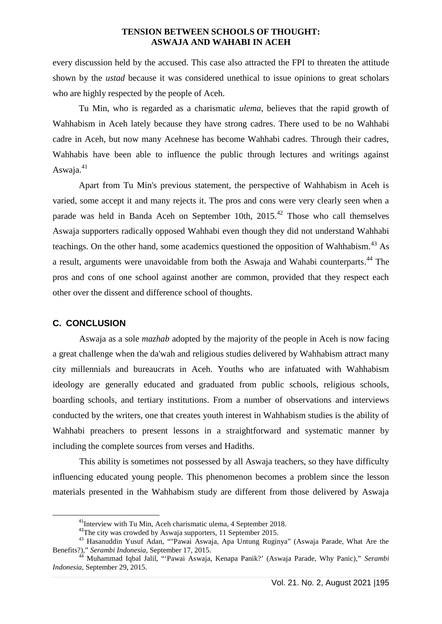every discussion held by the accused. This case also attracted the FPI to threaten the attitude shown by the *ustad* because it was considered unethical to issue opinions to great scholars who are highly respected by the people of Aceh.

Tu Min, who is regarded as a charismatic *ulema*, believes that the rapid growth of Wahhabism in Aceh lately because they have strong cadres. There used to be no Wahhabi cadre in Aceh, but now many Acehnese has become Wahhabi cadres. Through their cadres, Wahhabis have been able to influence the public through lectures and writings against Aswaja. $41$ 

Apart from Tu Min's previous statement, the perspective of Wahhabism in Aceh is varied, some accept it and many rejects it. The pros and cons were very clearly seen when a parade was held in Banda Aceh on September 10th,  $2015<sup>42</sup>$  Those who call themselves Aswaja supporters radically opposed Wahhabi even though they did not understand Wahhabi teachings. On the other hand, some academics questioned the opposition of Wahhabism.<sup>43</sup> As a result, arguments were unavoidable from both the Aswaja and Wahabi counterparts.<sup>44</sup> The pros and cons of one school against another are common, provided that they respect each other over the dissent and difference school of thoughts.

### **C. CONCLUSION**

Aswaja as a sole *mazhab* adopted by the majority of the people in Aceh is now facing a great challenge when the da'wah and religious studies delivered by Wahhabism attract many city millennials and bureaucrats in Aceh. Youths who are infatuated with Wahhabism ideology are generally educated and graduated from public schools, religious schools, boarding schools, and tertiary institutions. From a number of observations and interviews conducted by the writers, one that creates youth interest in Wahhabism studies is the ability of Wahhabi preachers to present lessons in a straightforward and systematic manner by including the complete sources from verses and Hadiths.

This ability is sometimes not possessed by all Aswaja teachers, so they have difficulty influencing educated young people. This phenomenon becomes a problem since the lesson materials presented in the Wahhabism study are different from those delivered by Aswaja

<sup>&</sup>lt;sup>41</sup>Interview with Tu Min, Aceh charismatic ulema, 4 September 2018.<br><sup>42</sup>The city was crowded by Aswaja supporters, 11 September 2015.<br><sup>43</sup> Hasanuddin Yusuf Adan, ""Pawai Aswaja, Apa Untung Ruginya" (Aswaja Parade, What A

<sup>&</sup>lt;sup>44</sup> Muhammad Iqbal Jalil, "'Pawai Aswaja, Kenapa Panik?' (Aswaja Parade, Why Panic)," *Serambi Indonesia*, September 29, 2015.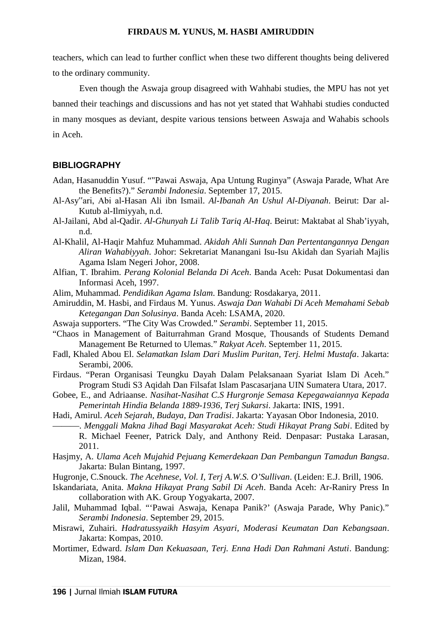teachers, which can lead to further conflict when these two different thoughts being delivered to the ordinary community.

Even though the Aswaja group disagreed with Wahhabi studies, the MPU has not yet banned their teachings and discussions and has not yet stated that Wahhabi studies conducted in many mosques as deviant, despite various tensions between Aswaja and Wahabis schools in Aceh.

### **BIBLIOGRAPHY**

- Adan, Hasanuddin Yusuf. ""Pawai Aswaja, Apa Untung Ruginya" (Aswaja Parade, What Are the Benefits?)." *Serambi Indonesia*. September 17, 2015.
- Al-Asy"ari, Abi al-Hasan Ali ibn Ismail. *Al-Ibanah An Ushul Al-Diyanah*. Beirut: Dar al- Kutub al-Ilmiyyah, n.d.
- Al-Jailani, Abd al-Qadir. *Al-Ghunyah Li Talib Tariq Al-Haq*. Beirut: Maktabat al Shab'iyyah, n.d.
- Al-Khalil, Al-Haqir Mahfuz Muhammad. *Akidah Ahli Sunnah Dan Pertentangannya Dengan Aliran Wahabiyyah*. Johor: Sekretariat Manangani Isu-Isu Akidah dan Syariah Majlis Agama Islam Negeri Johor, 2008.
- Alfian, T. Ibrahim. *Perang Kolonial Belanda Di Aceh*. Banda Aceh: Pusat Dokumentasi dan Informasi Aceh, 1997.
- Alim, Muhammad. *Pendidikan Agama Islam*. Bandung: Rosdakarya, 2011.
- Amiruddin, M. Hasbi, and Firdaus M. Yunus. *Aswaja Dan Wahabi Di Aceh Memahami Sebab Ketegangan Dan Solusinya*. Banda Aceh: LSAMA, 2020.
- Aswaja supporters. "The City Was Crowded." *Serambi*. September 11, 2015.
- "Chaos in Management of Baiturrahman Grand Mosque, Thousands of Students Demand Management Be Returned to Ulemas." *Rakyat Aceh*. September 11, 2015.
- Fadl, Khaled Abou El. *Selamatkan Islam Dari Muslim Puritan, Terj. Helmi Mustafa*. Jakarta: Serambi, 2006.
- Firdaus. "Peran Organisasi Teungku Dayah Dalam Pelaksanaan Syariat Islam Di Aceh." Program Studi S3 Aqidah Dan Filsafat Islam Pascasarjana UIN Sumatera Utara, 2017.
- Gobee, E., and Adriaanse. *Nasihat-Nasihat C.S Hurgronje Semasa Kepegawaiannya Kepada Pemerintah Hindia Belanda 1889-1936, Terj Sukarsi*. Jakarta: INIS, 1991.
- Hadi, Amirul. *Aceh Sejarah, Budaya, Dan Tradisi*. Jakarta: Yayasan Obor Indonesia, 2010.
	- ———. *Menggali Makna Jihad Bagi Masyarakat Aceh: Studi Hikayat Prang Sabi*. Edited by R. Michael Feener, Patrick Daly, and Anthony Reid. Denpasar: Pustaka Larasan, 2011.
- Hasjmy, A. *Ulama Aceh Mujahid Pejuang Kemerdekaan Dan Pembangun Tamadun Bangsa*. Jakarta: Bulan Bintang, 1997.
- Hugronje, C.Snouck. *The Acehnese, Vol. I, Terj A.W.S. O'Sullivan*. (Leiden: E.J. Brill, 1906.
- Iskandariata, Anita. *Makna Hikayat Prang Sabil Di Aceh*. Banda Aceh: Ar-Raniry Press In collaboration with AK. Group Yogyakarta, 2007.
- Jalil, Muhammad Iqbal. "'Pawai Aswaja, Kenapa Panik?' (Aswaja Parade, Why Panic)." *Serambi Indonesia*. September 29, 2015.
- Misrawi, Zuhairi. *Hadratussyaikh Hasyim Asyari, Moderasi Keumatan Dan Kebangsaan*. Jakarta: Kompas, 2010.
- Mortimer, Edward. *Islam Dan Kekuasaan, Terj. Enna Hadi Dan Rahmani Astuti*. Bandung: Mizan, 1984.